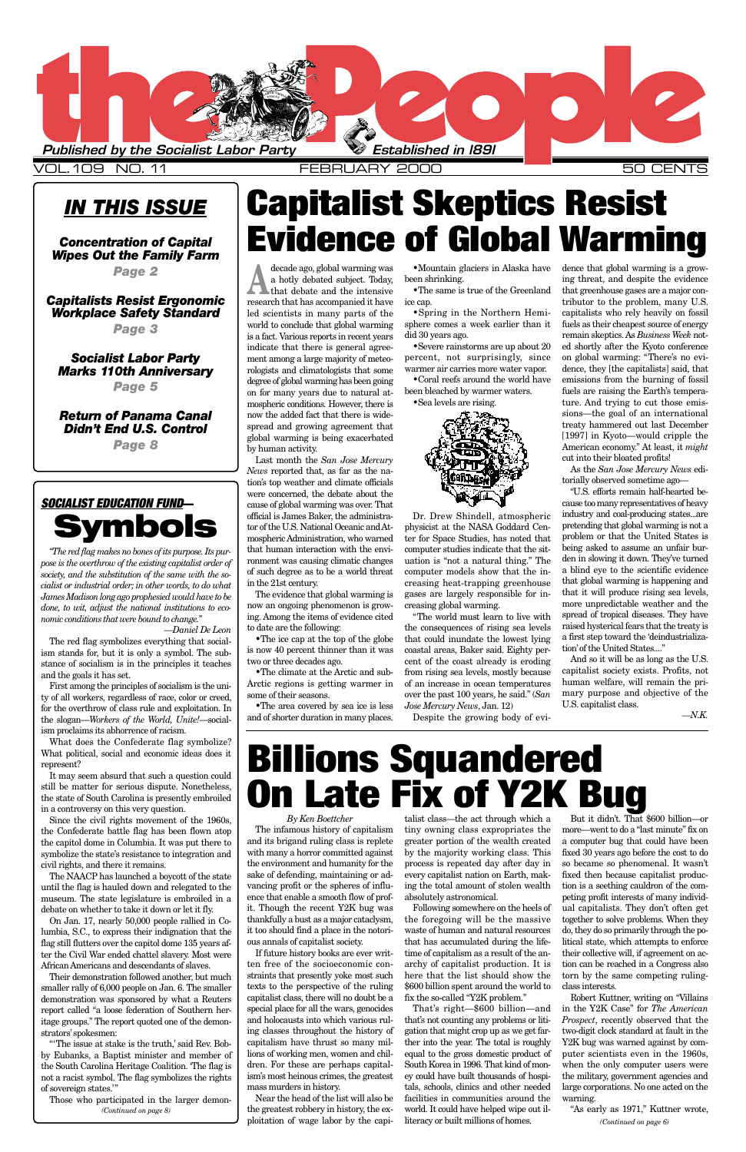### *IN THIS ISSUE*

*Concentration of Capital Wipes Out the Family Farm*

*Page 2*

### *Capitalists Resist Ergonomic Workplace Safety Standard*

*Page 3*

### *Socialist Labor Party Marks 110th Anniversary*

*Page 5*

*Return of Panama Canal Didn't End U.S. Control*

*Page 8*

*By Ken Boettcher* and its brigand ruling class is replete with many a horror committed against the environment and humanity for the sake of defending, maintaining or advancing profit or the spheres of influence that enable a smooth flow of profit. Though the recent Y2K bug was thankfully a bust as a major cataclysm, it too should find a place in the notorious annals of capitalist society. If future history books are ever written free of the socioeconomic constraints that presently yoke most such texts to the perspective of the ruling capitalist class, there will no doubt be a special place for all the wars, genocides and holocausts into which various ruling classes throughout the history of capitalism have thrust so many millions of working men, women and children. For these are perhaps capitalism's most heinous crimes, the greatest mass murders in history. Near the head of the list will also be the greatest robbery in history, the exploitation of wage labor by the capi-

The infamous history of capitalism tiny owning class expropriates the more—went to do a "last minute" fix on talist class—the act through which a greater portion of the wealth created a computer bug that could have been

> by the majority working class. This process is repeated day after day in every capitalist nation on Earth, making the total amount of stolen wealth absolutely astronomical.

> Following somewhere on the heels of the foregoing will be the massive waste of human and natural resources that has accumulated during the lifetime of capitalism as a result of the anarchy of capitalist production. It is here that the list should show the \$600 billion spent around the world to fix the so-called "Y2K problem."

decade ago, global warming was<br>
a hotly debated subject. Today,<br>
that debate and the intensive a hotly debated subject. Today, that debate and the intensive research that has accompanied it have led scientists in many parts of the world to conclude that global warming is a fact. Various reports in recent years indicate that there is general agreement among a large majority of meteorologists and climatologists that some degree of global warming has been going on for many years due to natural atmospheric conditions. However, there is now the added fact that there is widespread and growing agreement that global warming is being exacerbated by human activity.

> That's right—\$600 billion—and that's not counting any problems or litigation that might crop up as we get farther into the year. The total is roughly equal to the gross domestic product of South Korea in 1996. That kind of money could have built thousands of hospitals, schools, clinics and other needed facilities in communities around the world. It could have helped wipe out illiteracy or built millions of homes.



VOL.109 NO.11 FEBRUARY 2000

### **SOCIALIST EDUCATION FUND—** *Imbols*

Last month the *San Jose Mercury News* reported that, as far as the nation's top weather and climate officials were concerned, the debate about the cause of global warming was over. That official is James Baker, the administrator of the U.S. National Oceanic and Atmospheric Administration, who warned that human interaction with the environment was causing climatic changes of such degree as to be a world threat in the 21st century.

The evidence that global warming is now an ongoing phenomenon is growing. Among the items of evidence cited to date are the following:

•The ice cap at the top of the globe is now 40 percent thinner than it was two or three decades ago.

•The climate at the Arctic and sub-Arctic regions is getting warmer in some of their seasons.

•The area covered by sea ice is less and of shorter duration in many places.

•Mountain glaciers in Alaska have been shrinking.

•The same is true of the Greenland ice cap.

•Spring in the Northern Hemisphere comes a week earlier than it did 30 years ago.

•Severe rainstorms are up about 20 percent, not surprisingly, since warmer air carries more water vapor. •Coral reefs around the world have

been bleached by warmer waters. •Sea levels are rising.



Dr. Drew Shindell, atmospheric physicist at the NASA Goddard Center for Space Studies, has noted that computer studies indicate that the situation is "not a natural thing." The computer models show that the increasing heat-trapping greenhouse gases are largely responsible for increasing global warming.

"The world must learn to live with the consequences of rising sea levels that could inundate the lowest lying coastal areas, Baker said. Eighty percent of the coast already is eroding from rising sea levels, mostly because of an increase in ocean temperatures over the past 100 years, he said." (*San Jose Mercury News*, Jan. 12)

Despite the growing body of evi-

But it didn't. That \$600 billion—or fixed 30 years ago before the cost to do so became so phenomenal. It wasn't fixed then because capitalist production is a seething cauldron of the competing profit interests of many individual capitalists. They don't often get together to solve problems. When they do, they do so primarily through the political state, which attempts to enforce their collective will, if agreement on action can be reached in a Congress also torn by the same competing rulingclass interests. Robert Kuttner, writing on "Villains in the Y2K Case" for *The American Prospect*, recently observed that the two-digit clock standard at fault in the Y2K bug was warned against by computer scientists even in the 1960s, when the only computer users were the military, government agencies and large corporations. No one acted on the warning. "As early as 1971," Kuttner wrote, *(Continued on page 6)*

#### dence that global warming is a growing threat, and despite the evidence that greenhouse gases are a major contributor to the problem, many U.S. capitalists who rely heavily on fossil fuels as their cheapest source of energy remain skeptics. As *Business Week* noted shortly after the Kyoto conference on global warming: "There's no evidence, they [the capitalists] said, that emissions from the burning of fossil fuels are raising the Earth's temperature. And trying to cut those emissions—the goal of an international treaty hammered out last December [1997] in Kyoto—would cripple the American economy." At least, it *might* cut into their bloated profits!

As the *San Jose Mercury News* editorially observed sometime ago—

"U.S. efforts remain half-hearted because too many representatives of heavy industry and coal-producing states...are pretending that global warming is not a problem or that the United States is being asked to assume an unfair burden in slowing it down. They've turned a blind eye to the scientific evidence that global warming is happening and that it will produce rising sea levels, more unpredictable weather and the spread of tropical diseases. They have raised hysterical fears that the treaty is a first step toward the 'deindustrialization'of the United States...."

And so it will be as long as the U.S. capitalist society exists. Profits, not human welfare, will remain the primary purpose and objective of the U.S. capitalist class.

*—N.K.*

*"The red flag makes no bones of its purpose. Its purpose is the overthrow of the existing capitalist order of society, and the substitution of the same with the socialist or industrial order; in other words, to do what James Madison long ago prophesied would have to be done, to wit, adjust the national institutions to economic conditions that were bound to change."*

*—Daniel De Leon* The red flag symbolizes everything that socialism stands for, but it is only a symbol. The substance of socialism is in the principles it teaches and the goals it has set.

First among the principles of socialism is the unity of all workers, regardless of race, color or creed, for the overthrow of class rule and exploitation. In the slogan—*Workers of the World, Unite!*—socialism proclaims its abhorrence of racism.

What does the Confederate flag symbolize? What political, social and economic ideas does it represent?

It may seem absurd that such a question could still be matter for serious dispute. Nonetheless, the state of South Carolina is presently embroiled in a controversy on this very question.

Since the civil rights movement of the 1960s, the Confederate battle flag has been flown atop the capitol dome in Columbia. It was put there to symbolize the state's resistance to integration and civil rights, and there it remains. The NAACP has launched a boycott of the state until the flag is hauled down and relegated to the museum. The state legislature is embroiled in a debate on whether to take it down or let it fly. On Jan. 17, nearly 50,000 people rallied in Columbia, S.C., to express their indignation that the flag still flutters over the capitol dome 135 years after the Civil War ended chattel slavery. Most were African Americans and descendants of slaves. Their demonstration followed another, but much smaller rally of 6,000 people on Jan. 6. The smaller demonstration was sponsored by what a Reuters report called "a loose federation of Southern heritage groups." The report quoted one of the demonstrators'spokesmen: "'The issue at stake is the truth,' said Rev. Bobby Eubanks, a Baptist minister and member of the South Carolina Heritage Coalition. 'The flag is not a racist symbol. The flag symbolizes the rights of sovereign states.'"

**Capitalist Skeptics Resist**

Those who participated in the larger demon-*(Continued on page 8)*

**Evidence of Global Warming**

## **Billions Squandered On Late Fix of Y2K Bug**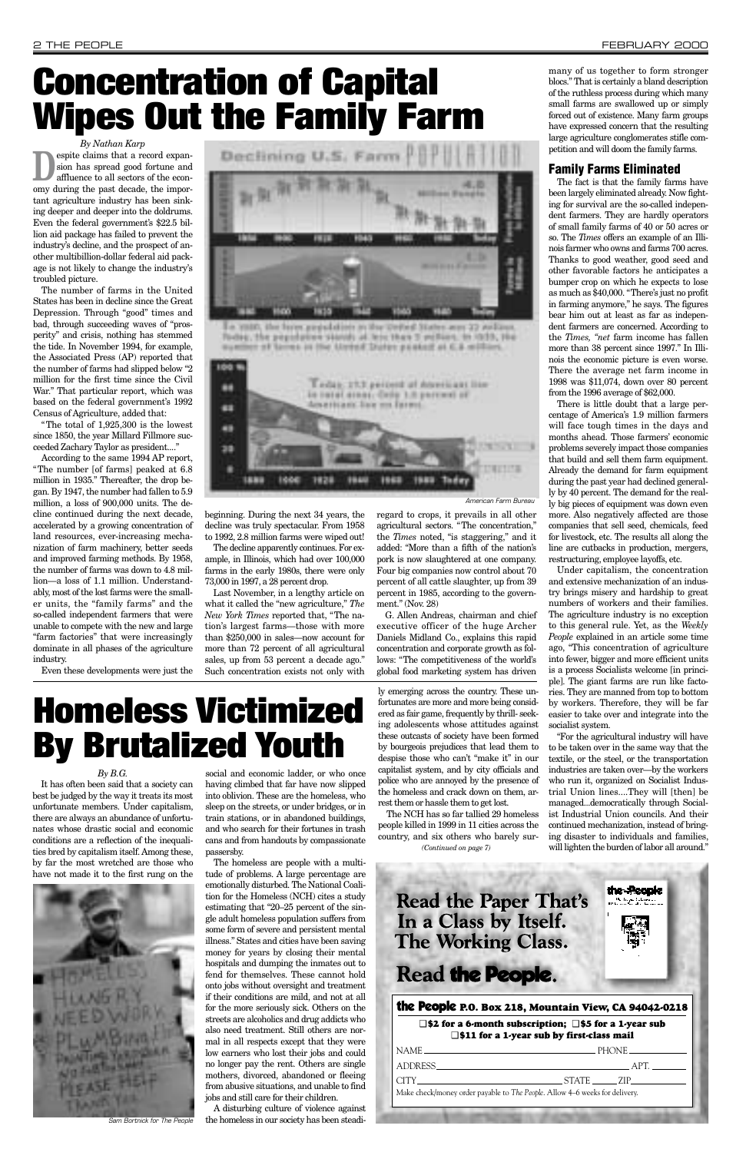*By Nathan Karp* **Despite claims that a record expansion has spread good fortune and affluence to all sectors of the econ**sion has spread good fortune and omy during the past decade, the important agriculture industry has been sinking deeper and deeper into the doldrums. Even the federal government's \$22.5 billion aid package has failed to prevent the industry's decline, and the prospect of another multibillion-dollar federal aid package is not likely to change the industry's troubled picture.

The total of 1,925,300 is the lowest since 1850, the year Millard Fillmore succeeded Zachary Taylor as president...."

The number of farms in the United States has been in decline since the Great Depression. Through "good" times and bad, through succeeding waves of "prosperity" and crisis, nothing has stemmed the tide. In November 1994, for example, the Associated Press (AP) reported that the number of farms had slipped below "2 million for the first time since the Civil War." That particular report, which was based on the federal government's 1992 Census of Agriculture, added that:

According to the same 1994 AP report, "The number [of farms] peaked at 6.8 million in 1935." Thereafter, the drop began. By 1947, the number had fallen to 5.9 million, a loss of 900,000 units. The decline continued during the next decade, accelerated by a growing concentration of land resources, ever-increasing mechanization of farm machinery, better seeds and improved farming methods. By 1958, the number of farms was down to 4.8 million—a loss of 1.1 million. Understandably, most of the lost farms were the smaller units, the "family farms" and the so-called independent farmers that were unable to compete with the new and large "farm factories" that were increasingly dominate in all phases of the agriculture industry.

Even these developments were just the



In 1980, the layer providence in the United **CARDS AV AN** focker, the population storals at less than 3 yesters, in 1939, the synthet of lares in the Untof Duter pasked at C.S. william

beginning. During the next 34 years, the decline was truly spectacular. From 1958 to 1992, 2.8 million farms were wiped out!

The decline apparently continues. For example, in Illinois, which had over 100,000 farms in the early 1980s, there were only 73,000 in 1997, a 28 percent drop.

Last November, in a lengthy article on what it called the "new agriculture," *The New York Times* reported that, "The nation's largest farms—those with more than \$250,000 in sales—now account for more than 72 percent of all agricultural sales, up from 53 percent a decade ago." Such concentration exists not only with regard to crops, it prevails in all other agricultural sectors. "The concentration," the *Times* noted, "is staggering," and it added: "More than a fifth of the nation's pork is now slaughtered at one company. Four big companies now control about 70 percent of all cattle slaughter, up from 39 percent in 1985, according to the government." (Nov. 28)

G. Allen Andreas, chairman and chief executive officer of the huge Archer Daniels Midland Co., explains this rapid concentration and corporate growth as follows: "The competitiveness of the world's global food marketing system has driven

many of us together to form stronger blocs." That is certainly a bland description of the ruthless process during which many small farms are swallowed up or simply forced out of existence. Many farm groups have expressed concern that the resulting large agriculture conglomerates stifle competition and will doom the family farms.

#### Family Farms Eliminated

The fact is that the family farms have been largely eliminated already. Now fighting for survival are the so-called independent farmers. They are hardly operators of small family farms of 40 or 50 acres or so. The *Times* offers an example of an Illinois farmer who owns and farms 700 acres. Thanks to good weather, good seed and other favorable factors he anticipates a bumper crop on which he expects to lose as much as \$40,000. "There's just no profit in farming anymore," he says. The figures bear him out at least as far as independent farmers are concerned. According to the *Times, "net* farm income has fallen more than 38 percent since 1997." In Illinois the economic picture is even worse. There the average net farm income in 1998 was \$11,074, down over 80 percent from the 1996 average of \$62,000.

There is little doubt that a large percentage of America's 1.9 million farmers will face tough times in the days and months ahead. Those farmers' economic problems severely impact those companies that build and sell them farm equipment. Already the demand for farm equipment during the past year had declined generally by 40 percent. The demand for the really big pieces of equipment was down even more. Also negatively affected are those companies that sell seed, chemicals, feed for livestock, etc. The results all along the line are cutbacks in production, mergers, restructuring, employee layoffs, etc.

Under capitalism, the concentration and extensive mechanization of an industry brings misery and hardship to great numbers of workers and their families. The agriculture industry is no exception to this general rule. Yet, as the *Weekly People* explained in an article some time ago, "This concentration of agriculture into fewer, bigger and more efficient units is a process Socialists welcome [in principle]. The giant farms are run like factories. They are manned from top to bottom by workers. Therefore, they will be far easier to take over and integrate into the socialist system.

"For the agricultural industry will have to be taken over in the same way that the textile, or the steel, or the transportation industries are taken over—by the workers who run it, organized on Socialist Industrial Union lines....They will [then] be managed...democratically through Socialist Industrial Union councils. And their continued mechanization, instead of bringing disaster to individuals and families,

the People

الزامرية والمتار

### **Read the Paper That's** In a Class by Itself. **The Working Class.**

### Read the People.

#### *By B.G.*

It has often been said that a society can best be judged by the way it treats its most unfortunate members. Under capitalism, there are always an abundance of unfortunates whose drastic social and economic conditions are a reflection of the inequali-

ties bred by capitalism itself. Among these, by far the most wretched are those who have not made it to the first rung on the

social and economic ladder, or who once having climbed that far have now slipped into oblivion. These are the homeless, who sleep on the streets, or under bridges, or in train stations, or in abandoned buildings, and who search for their fortunes in trash cans and from handouts by compassionate

passersby.

The homeless are people with a multitude of problems. A large percentage are emotionally disturbed. The National Coalition for the Homeless (NCH) cites a study estimating that "20–25 percent of the single adult homeless population suffers from some form of severe and persistent mental illness." States and cities have been saving money for years by closing their mental hospitals and dumping the inmates out to fend for themselves. These cannot hold onto jobs without oversight and treatment if their conditions are mild, and not at all for the more seriously sick. Others on the streets are alcoholics and drug addicts who also need treatment. Still others are normal in all respects except that they were low earners who lost their jobs and could no longer pay the rent. Others are single mothers, divorced, abandoned or fleeing from abusive situations, and unable to find jobs and still care for their children.

A disturbing culture of violence against the homeless in our society has been steadily emerging across the country. These unfortunates are more and more being considered as fair game, frequently by thrill- seeking adolescents whose attitudes against these outcasts of society have been formed by bourgeois prejudices that lead them to despise those who can't "make it" in our capitalist system, and by city officials and police who are annoyed by the presence of the homeless and crack down on them, arrest them or hassle them to get lost.

The NCH has so far tallied 29 homeless people killed in 1999 in 11 cities across the country, and six others who barely sur-

## **Concentration of Capital Wipes Out the Family Farm**

#### the People **P.O. Box 218, Mountain View, CA 94042-0218**

#### ❑ **\$2 for a 6-month subscription;** ❑ **\$5 for a 1-year sub** ❑ **\$11 for a 1-year sub by first-class mail**

| $NAME$ $\longrightarrow$ PHONE                                                                                                                                                                                                                                                                                                                                                                                                                                                                                                                                                                              |           |
|-------------------------------------------------------------------------------------------------------------------------------------------------------------------------------------------------------------------------------------------------------------------------------------------------------------------------------------------------------------------------------------------------------------------------------------------------------------------------------------------------------------------------------------------------------------------------------------------------------------|-----------|
|                                                                                                                                                                                                                                                                                                                                                                                                                                                                                                                                                                                                             | APT.      |
| $\text{CITY}\textcolor{red}{\overbrace{\text{CITY}}}\textcolor{red}{\overbrace{\text{CITY}}}\textcolor{red}{\overbrace{\text{CITY}}}\textcolor{red}{\overbrace{\text{CITY}}}\textcolor{red}{\overbrace{\text{CITY}}}\textcolor{red}{\overbrace{\text{CITY}}}\textcolor{red}{\overbrace{\text{CITY}}}\textcolor{red}{\overbrace{\text{CITY}}}\textcolor{red}{\overbrace{\text{CITY}}}\textcolor{red}{\overbrace{\text{CITY}}}\textcolor{red}{\overbrace{\text{CITY}}}\textcolor{red}{\overbrace{\text{CITY}}}\textcolor{red}{\overbrace{\text{CITY}}}\textcolor{red}{\overbrace{\text{CITY}}}\textcolor{red$ | STATE 7IP |
| Make check/money order payable to The People. Allow 4–6 weeks for delivery.                                                                                                                                                                                                                                                                                                                                                                                                                                                                                                                                 |           |
|                                                                                                                                                                                                                                                                                                                                                                                                                                                                                                                                                                                                             |           |



## **Homeless Victimized By Brutalized Youth**



Sam Bortnick for The People

*(Continued on page 7)*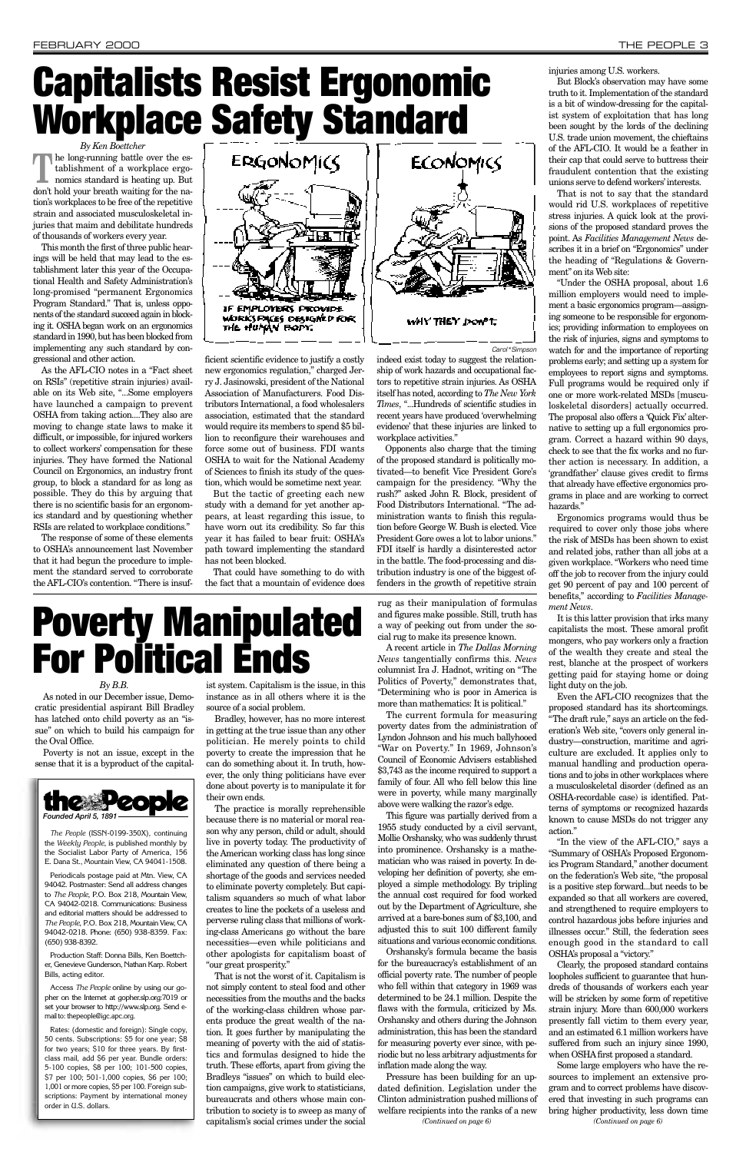*By Ken Boettcher*

**The long-running battle over the establishment of a workplace ergo-**<br>nomics standard is heating up. But tablishment of a workplace ergodon't hold your breath waiting for the nation's workplaces to be free of the repetitive strain and associated musculoskeletal injuries that maim and debilitate hundreds of thousands of workers every year.

This month the first of three public hearings will be held that may lead to the establishment later this year of the Occupational Health and Safety Administration's long-promised "permanent Ergonomics Program Standard." That is, unless opponents of the standard succeed again in blocking it. OSHA began work on an ergonomics standard in 1990, but has been blocked from implementing any such standard by congressional and other action.

As the AFL-CIO notes in a "Fact sheet on RSIs" (repetitive strain injuries) available on its Web site, "...Some employers have launched a campaign to prevent OSHA from taking action....They also are moving to change state laws to make it difficult, or impossible, for injured workers to collect workers' compensation for these injuries. They have formed the National Council on Ergonomics, an industry front group, to block a standard for as long as possible. They do this by arguing that there is no scientific basis for an ergonomics standard and by questioning whether RSIs are related to workplace conditions."

The response of some of these elements to OSHA's announcement last November that it had begun the procedure to implement the standard served to corroborate the AFL-CIO's contention. "There is insuf-



ficient scientific evidence to justify a costly new ergonomics regulation," charged Jerry J. Jasinowski, president of the National Association of Manufacturers. Food Distributors International, a food wholesalers association, estimated that the standard would require its members to spend \$5 billion to reconfigure their warehouses and force some out of business. FDI wants OSHA to wait for the National Academy of Sciences to finish its study of the question, which would be sometime next year.

But the tactic of greeting each new study with a demand for yet another appears, at least regarding this issue, to have worn out its credibility. So far this year it has failed to bear fruit: OSHA's path toward implementing the standard has not been blocked.

That could have something to do with the fact that a mountain of evidence does

indeed exist today to suggest the relationship of work hazards and occupational factors to repetitive strain injuries. As OSHA itself has noted, according to *The New York Times*, "...Hundreds of scientific studies in recent years have produced 'overwhelming evidence' that these injuries are linked to workplace activities."

Opponents also charge that the timing of the proposed standard is politically motivated—to benefit Vice President Gore's campaign for the presidency. "Why the rush?" asked John R. Block, president of Food Distributors International. "The administration wants to finish this regulation before George W. Bush is elected. Vice President Gore owes a lot to labor unions." FDI itself is hardly a disinterested actor in the battle. The food-processing and distribution industry is one of the biggest offenders in the growth of repetitive strain

injuries among U.S. workers.

But Block's observation may have some truth to it. Implementation of the standard is a bit of window-dressing for the capitalist system of exploitation that has long been sought by the lords of the declining U.S. trade union movement, the chieftains of the AFL-CIO. It would be a feather in their cap that could serve to buttress their fraudulent contention that the existing unions serve to defend workers'interests.

That is not to say that the standard would rid U.S. workplaces of repetitive stress injuries. A quick look at the provisions of the proposed standard proves the point. As *Facilities Management News* describes it in a brief on "Ergonomics" under the heading of "Regulations & Government" on its Web site:

"Under the OSHA proposal, about 1.6 million employers would need to implement a basic ergonomics program—assigning someone to be responsible for ergonomics; providing information to employees on the risk of injuries, signs and symptoms to watch for and the importance of reporting problems early; and setting up a system for employees to report signs and symptoms. Full programs would be required only if one or more work-related MSDs [musculoskeletal disorders] actually occurred. The proposal also offers a 'Quick Fix' alternative to setting up a full ergonomics program. Correct a hazard within 90 days, check to see that the fix works and no further action is necessary. In addition, a 'grandfather' clause gives credit to firms that already have effective ergonomics programs in place and are working to correct hazards."

Ergonomics programs would thus be required to cover only those jobs where the risk of MSDs has been shown to exist and related jobs, rather than all jobs at a given workplace. "Workers who need time off the job to recover from the injury could get 90 percent of pay and 100 percent of benefits," according to *Facilities Management News*.

It is this latter provision that irks many capitalists the most. These amoral profit mongers, who pay workers only a fraction of the wealth they create and steal the rest, blanche at the prospect of workers getting paid for staying home or doing light duty on the job.

Even the AFL-CIO recognizes that the proposed standard has its shortcomings. "The draft rule," says an article on the federation's Web site, "covers only general industry—construction, maritime and agriculture are excluded. It applies only to manual handling and production operations and to jobs in other workplaces where a musculoskeletal disorder (defined as an OSHA-recordable case) is identified. Patterns of symptoms or recognized hazards known to cause MSDs do not trigger any action."

*By B.B.* As noted in our December issue, Demo-

cratic presidential aspirant Bill Bradley has latched onto child poverty as an "issue" on which to build his campaign for the Oval Office.

Poverty is not an issue, except in the sense that it is a byproduct of the capital-

ist system. Capitalism is the issue, in this instance as in all others where it is the source of a social problem.

Bradley, however, has no more interest in getting at the true issue than any other politician. He merely points to child poverty to create the impression that he can do something about it. In truth, however, the only thing politicians have ever done about poverty is to manipulate it for their own ends.

The practice is morally reprehensible because there is no material or moral reason why any person, child or adult, should live in poverty today. The productivity of the American working class has long since eliminated any question of there being a shortage of the goods and services needed to eliminate poverty completely. But capitalism squanders so much of what labor creates to line the pockets of a useless and perverse ruling class that millions of working-class Americans go without the bare necessities—even while politicians and other apologists for capitalism boast of "our great prosperity." That is not the worst of it. Capitalism is not simply content to steal food and other necessities from the mouths and the backs of the working-class children whose parents produce the great wealth of the nation. It goes further by manipulating the meaning of poverty with the aid of statistics and formulas designed to hide the truth. These efforts, apart from giving the Bradleys "issues" on which to build election campaigns, give work to statisticians, bureaucrats and others whose main contribution to society is to sweep as many of capitalism's social crimes under the social

rug as their manipulation of formulas and figures make possible. Still, truth has a way of peeking out from under the social rug to make its presence known.

> "In the view of the AFL-CIO," says a "Summary of OSHA's Proposed Ergonomics Program Standard," another document on the federation's Web site, "the proposal is a positive step forward...but needs to be expanded so that all workers are covered, and strengthened to require employers to control hazardous jobs before injuries and illnesses occur." Still, the federation sees enough good in the standard to call OSHA's proposal a "victory." Clearly, the proposed standard contains loopholes sufficient to guarantee that hundreds of thousands of workers each year will be stricken by some form of repetitive strain injury. More than 600,000 workers presently fall victim to them every year, and an estimated 6.1 million workers have suffered from such an injury since 1990, when OSHAfirst proposed a standard. Some large employers who have the resources to implement an extensive program and to correct problems have discovered that investing in such programs can bring higher productivity, less down time *(Continued on page 6) (Continued on page 6)*

A recent article in *The Dallas Morning News* tangentially confirms this. *News* columnist Ira J. Hadnot, writing on "The Politics of Poverty," demonstrates that, "Determining who is poor in America is more than mathematics: It is political."

The current formula for measuring poverty dates from the administration of Lyndon Johnson and his much ballyhooed "War on Poverty." In 1969, Johnson's Council of Economic Advisers established \$3,743 as the income required to support a family of four. All who fell below this line were in poverty, while many marginally above were walking the razor's edge.

This figure was partially derived from a 1955 study conducted by a civil servant, Mollie Orshansky, who was suddenly thrust into prominence. Orshansky is a mathematician who was raised in poverty. In developing her definition of poverty, she employed a simple methodology. By tripling the annual cost required for food worked out by the Department of Agriculture, she arrived at a bare-bones sum of \$3,100, and adjusted this to suit 100 different family situations and various economic conditions. Orshansky's formula became the basis for the bureaucracy's establishment of an official poverty rate. The number of people who fell within that category in 1969 was determined to be 24.1 million. Despite the flaws with the formula, criticized by Ms. Orshansky and others during the Johnson administration, this has been the standard for measuring poverty ever since, with periodic but no less arbitrary adjustments for inflation made along the way. Pressure has been building for an updated definition. Legislation under the Clinton administration pushed millions of welfare recipients into the ranks of a new



*The People* (ISSN-0199-350X), continuing the *Weekly People*, is published monthly by the Socialist Labor Party of America, 156 E. Dana St., Mountain View, CA 94041-1508.

Periodicals postage paid at Mtn. View, CA 94042. Postmaster: Send all address changes to *The People*, P.O. Box 218, Mountain View, CA 94042-0218. Communications: Business and editorial matters should be addressed to *The People*, P.O. Box 218, Mountain View, CA 94042-0218. Phone: (650) 938-8359. Fax: (650) 938-8392.

Production Staff: Donna Bills, Ken Boettcher, Genevieve Gunderson, Nathan Karp. Robert Bills, acting editor.

Access *The People* online by using our gopher on the Internet at gopher.slp.org:7019 or set your browser to http://www.slp.org. Send email to: thepeople@igc.apc.org.

Rates: (domestic and foreign): Single copy, 50 cents. Subscriptions: \$5 for one year; \$8 for two years; \$10 for three years. By firstclass mail, add \$6 per year. Bundle orders: 5-100 copies, \$8 per 100; 101-500 copies, \$7 per 100; 501-1,000 copies, \$6 per 100; 1,001 or more copies, \$5 per 100. Foreign subscriptions: Payment by international money order in U.S. dollars.

Carol\*Simpson

## **Capitalists Resist Ergonomic Workplace Safety Standard**

## **Poverty Manipulated For Political Ends**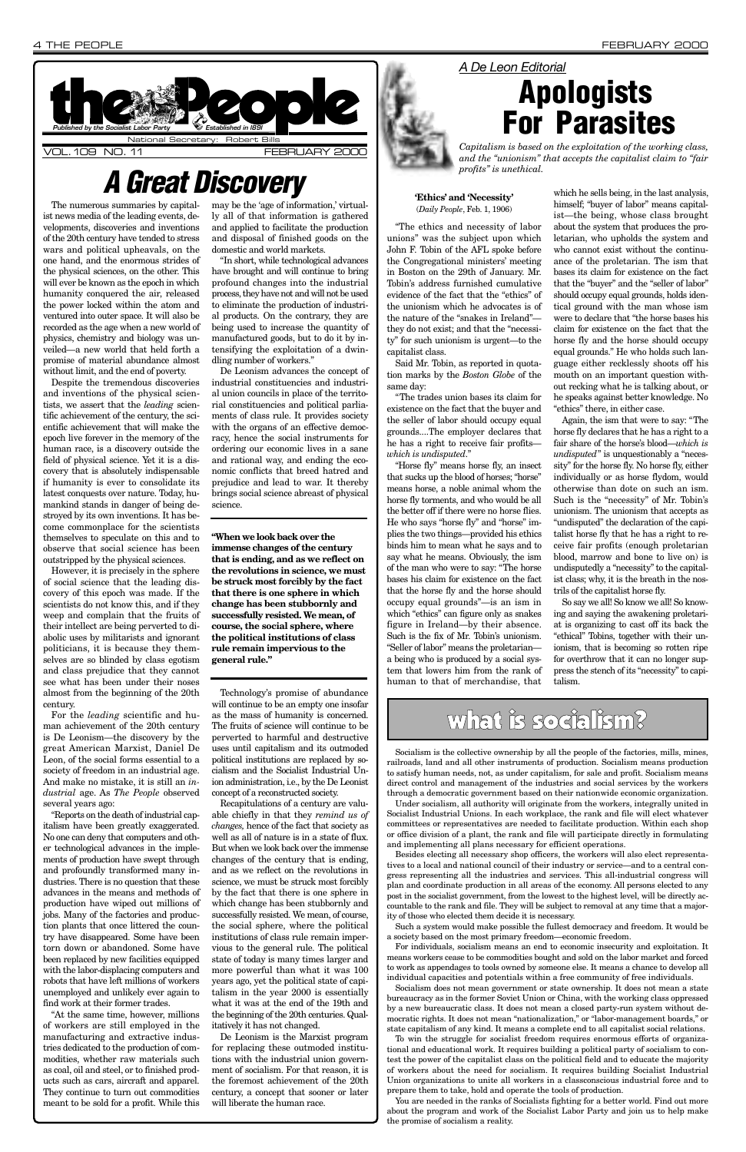The numerous summaries by capitalist news media of the leading events, developments, discoveries and inventions of the 20th century have tended to stress wars and political upheavals, on the one hand, and the enormous strides of the physical sciences, on the other. This will ever be known as the epoch in which humanity conquered the air, released the power locked within the atom and ventured into outer space. It will also be recorded as the age when a new world of physics, chemistry and biology was unveiled—a new world that held forth a promise of material abundance almost without limit, and the end of poverty.

Despite the tremendous discoveries and inventions of the physical scientists, we assert that the *leading* scientific achievement of the century, the scientific achievement that will make the epoch live forever in the memory of the human race, is a discovery outside the field of physical science. Yet it is a discovery that is absolutely indispensable if humanity is ever to consolidate its latest conquests over nature. Today, humankind stands in danger of being destroyed by its own inventions. It has become commonplace for the scientists themselves to speculate on this and to observe that social science has been outstripped by the physical sciences.

However, it is precisely in the sphere of social science that the leading discovery of this epoch was made. If the scientists do not know this, and if they weep and complain that the fruits of their intellect are being perverted to diabolic uses by militarists and ignorant politicians, it is because they themselves are so blinded by class egotism and class prejudice that they cannot see what has been under their noses almost from the beginning of the 20th century.

For the *leading* scientific and human achievement of the 20th century is De Leonism—the discovery by the great American Marxist, Daniel De Leon, of the social forms essential to a society of freedom in an industrial age. And make no mistake, it is still an *industrial* age. As *The People* observed several years ago:

"Reports on the death of industrial capitalism have been greatly exaggerated. No one can deny that computers and other technological advances in the implements of production have swept through and profoundly transformed many industries. There is no question that these advances in the means and methods of production have wiped out millions of jobs. Many of the factories and production plants that once littered the country have disappeared. Some have been torn down or abandoned. Some have been replaced by new facilities equipped with the labor-displacing computers and robots that have left millions of workers unemployed and unlikely ever again to find work at their former trades. "At the same time, however, millions of workers are still employed in the manufacturing and extractive industries dedicated to the production of commodities, whether raw materials such as coal, oil and steel, or to finished products such as cars, aircraft and apparel. They continue to turn out commodities meant to be sold for a profit. While this

may be the 'age of information,' virtually all of that information is gathered and applied to facilitate the production and disposal of finished goods on the domestic and world markets.

"In short, while technological advances have brought and will continue to bring profound changes into the industrial process, they have not and will not be used to eliminate the production of industrial products. On the contrary, they are being used to increase the quantity of manufactured goods, but to do it by intensifying the exploitation of a dwindling number of workers."

De Leonism advances the concept of industrial constituencies and industrial union councils in place of the territorial constituencies and political parliaments of class rule. It provides society with the organs of an effective democracy, hence the social instruments for ordering our economic lives in a sane and rational way, and ending the economic conflicts that breed hatred and prejudice and lead to war. It thereby brings social science abreast of physical science.

Technology's promise of abundance will continue to be an empty one insofar as the mass of humanity is concerned. The fruits of science will continue to be perverted to harmful and destructive uses until capitalism and its outmoded political institutions are replaced by socialism and the Socialist Industrial Union administration, i.e., by the De Leonist concept of a reconstructed society.



Recapitulations of a century are valuable chiefly in that they *remind us of changes,* hence of the fact that society as well as all of nature is in a state of flux. But when we look back over the immense changes of the century that is ending, and as we reflect on the revolutions in science, we must be struck most forcibly by the fact that there is one sphere in which change has been stubbornly and successfully resisted. We mean, of course, the social sphere, where the political institutions of class rule remain impervious to the general rule. The political state of today is many times larger and more powerful than what it was 100 years ago, yet the political state of capitalism in the year 2000 is essentially what it was at the end of the 19th and the beginning of the 20th centuries. Qualitatively it has not changed. De Leonism is the Marxist program for replacing these outmoded institutions with the industrial union government of socialism. For that reason, it is the foremost achievement of the 20th century, a concept that sooner or later will liberate the human race.

#### **'Ethics' and 'Necessity'** (*Daily People*, Feb. 1, 1906)

"The ethics and necessity of labor unions" was the subject upon which John F. Tobin of the AFL spoke before the Congregational ministers' meeting in Boston on the 29th of January. Mr. Tobin's address furnished cumulative evidence of the fact that the "ethics" of the unionism which he advocates is of the nature of the "snakes in Ireland" they do not exist; and that the "necessity" for such unionism is urgent—to the capitalist class.

Said Mr. Tobin, as reported in quotation marks by the *Boston Globe* of the same day:

"The trades union bases its claim for existence on the fact that the buyer and the seller of labor should occupy equal grounds....The employer declares that he has a right to receive fair profits *which is undisputed*."

"Horse fly" means horse fly, an insect that sucks up the blood of horses; "horse" means horse, a noble animal whom the horse fly torments, and who would be all the better off if there were no horse flies. He who says "horse fly" and "horse" implies the two things—provided his ethics binds him to mean what he says and to say what he means. Obviously, the ism of the man who were to say: "The horse bases his claim for existence on the fact that the horse fly and the horse should occupy equal grounds"—is an ism in which "ethics" can figure only as snakes figure in Ireland—by their absence. Such is the fix of Mr. Tobin's unionism. "Seller of labor" means the proletarian a being who is produced by a social system that lowers him from the rank of human to that of merchandise, that

which he sells being, in the last analysis, himself; "buyer of labor" means capitalist—the being, whose class brought about the system that produces the proletarian, who upholds the system and who cannot exist without the continuance of the proletarian. The ism that bases its claim for existence on the fact that the "buyer" and the "seller of labor" should occupy equal grounds, holds identical ground with the man whose ism were to declare that "the horse bases his claim for existence on the fact that the horse fly and the horse should occupy equal grounds." He who holds such language either recklessly shoots off his mouth on an important question without recking what he is talking about, or he speaks against better knowledge. No "ethics" there, in either case.

Again, the ism that were to say: "The horse fly declares that he has a right to a fair share of the horse's blood—*which is undisputed*" is unquestionably a "necessity" for the horse fly. No horse fly, either individually or as horse flydom, would otherwise than dote on such an ism. Such is the "necessity" of Mr. Tobin's unionism. The unionism that accepts as "undisputed" the declaration of the capitalist horse fly that he has a right to receive fair profits (enough proletarian blood, marrow and bone to live on) is undisputedly a "necessity" to the capitalist class; why, it is the breath in the nostrils of the capitalist horse fly.

So say we all! So know we all! So knowing and saying the awakening proletariat is organizing to cast off its back the "ethical" Tobins, together with their unionism, that is becoming so rotten ripe for overthrow that it can no longer suppress the stench of its "necessity" to capitalism.

### what is socialism?

### **A Great Discovery**

#### *A De Leon Editorial*



*Capitalism is based on the exploitation of the working class, and the "unionism" that accepts the capitalist claim to "fair profits" is unethical.*

Socialism is the collective ownership by all the people of the factories, mills, mines, railroads, land and all other instruments of production. Socialism means production to satisfy human needs, not, as under capitalism, for sale and profit. Socialism means direct control and management of the industries and social services by the workers through a democratic government based on their nationwide economic organization.

Under socialism, all authority will originate from the workers, integrally united in Socialist Industrial Unions. In each workplace, the rank and file will elect whatever committees or representatives are needed to facilitate production. Within each shop or office division of a plant, the rank and file will participate directly in formulating and implementing all plans necessary for efficient operations. Besides electing all necessary shop officers, the workers will also elect representatives to a local and national council of their industry or service—and to a central congress representing all the industries and services. This all-industrial congress will plan and coordinate production in all areas of the economy. All persons elected to any post in the socialist government, from the lowest to the highest level, will be directly accountable to the rank and file. They will be subject to removal at any time that a majority of those who elected them decide it is necessary.

Such a system would make possible the fullest democracy and freedom. It would be a society based on the most primary freedom—economic freedom.

For individuals, socialism means an end to economic insecurity and exploitation. It means workers cease to be commodities bought and sold on the labor market and forced to work as appendages to tools owned by someone else. It means a chance to develop all individual capacities and potentials within a free community of free individuals.

Socialism does not mean government or state ownership. It does not mean a state bureaucracy as in the former Soviet Union or China, with the working class oppressed by a new bureaucratic class. It does not mean a closed party-run system without democratic rights. It does not mean "nationalization," or "labor-management boards," or state capitalism of any kind. It means a complete end to all capitalist social relations.

To win the struggle for socialist freedom requires enormous efforts of organizational and educational work. It requires building a political party of socialism to contest the power of the capitalist class on the political field and to educate the majority of workers about the need for socialism. It requires building Socialist Industrial Union organizations to unite all workers in a classconscious industrial force and to prepare them to take, hold and operate the tools of production.

You are needed in the ranks of Socialists fighting for a better world. Find out more about the program and work of the Socialist Labor Party and join us to help make the promise of socialism a reality.

**"When we look back over the immense changes of the century that is ending, and as we reflect on the revolutions in science, we must be struck most forcibly by the fact that there is one sphere in which change has been stubbornly and successfully resisted. We mean, of course, the social sphere, where the political institutions of class rule remain impervious to the general rule."**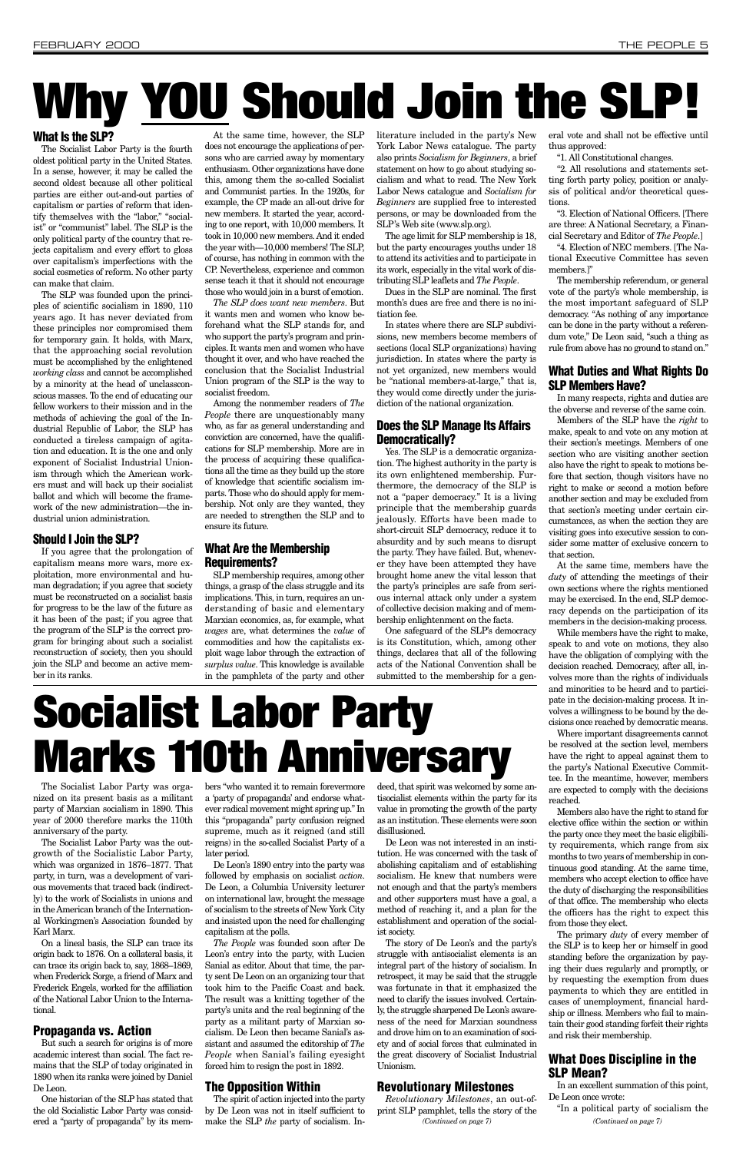#### What Is the SLP?

The Socialist Labor Party is the fourth oldest political party in the United States. In a sense, however, it may be called the second oldest because all other political parties are either out-and-out parties of capitalism or parties of reform that identify themselves with the "labor," "socialist" or "communist" label. The SLP is the only political party of the country that rejects capitalism and every effort to gloss over capitalism's imperfections with the social cosmetics of reform. No other party can make that claim.

The SLP was founded upon the principles of scientific socialism in 1890, 110 years ago. It has never deviated from these principles nor compromised them for temporary gain. It holds, with Marx, that the approaching social revolution must be accomplished by the enlightened *working class* and cannot be accomplished by a minority at the head of unclassconscious masses. To the end of educating our fellow workers to their mission and in the methods of achieving the goal of the Industrial Republic of Labor, the SLP has conducted a tireless campaign of agitation and education. It is the one and only exponent of Socialist Industrial Unionism through which the American workers must and will back up their socialist ballot and which will become the framework of the new administration—the industrial union administration.

#### Should I Join the SLP?

If you agree that the prolongation of capitalism means more wars, more exploitation, more environmental and human degradation; if you agree that society must be reconstructed on a socialist basis for progress to be the law of the future as it has been of the past; if you agree that the program of the SLP is the correct program for bringing about such a socialist reconstruction of society, then you should join the SLP and become an active member in its ranks.

At the same time, however, the SLP does not encourage the applications of persons who are carried away by momentary enthusiasm. Other organizations have done this, among them the so-called Socialist and Communist parties. In the 1920s, for example, the CP made an all-out drive for new members. It started the year, according to one report, with 10,000 members. It took in 10,000 new members. And it ended the year with—10,000 members! The SLP, of course, has nothing in common with the CP. Nevertheless, experience and common sense teach it that it should not encourage those who would join in a burst of emotion.

*The SLP does want new members*. But it wants men and women who know beforehand what the SLP stands for, and who support the party's program and principles. It wants men and women who have thought it over, and who have reached the conclusion that the Socialist Industrial Union program of the SLP is the way to socialist freedom.

Among the nonmember readers of *The People* there are unquestionably many who, as far as general understanding and conviction are concerned, have the qualifications for SLP membership. More are in the process of acquiring these qualifications all the time as they build up the store of knowledge that scientific socialism imparts. Those who do should apply for membership. Not only are they wanted, they are needed to strengthen the SLP and to ensure its future.

#### What Are the Membership Requirements?

SLP membership requires, among other things, a grasp of the class struggle and its implications. This, in turn, requires an understanding of basic and elementary Marxian economics, as, for example, what *wages* are, what determines the *value* of commodities and how the capitalists exploit wage labor through the extraction of *surplus value*. This knowledge is available in the pamphlets of the party and other

literature included in the party's New York Labor News catalogue. The party also prints *Socialism for Beginners*, a brief statement on how to go about studying socialism and what to read. The New York Labor News catalogue and *Socialism for Beginners* are supplied free to interested persons, or may be downloaded from the SLP's Web site (www.slp.org).

The age limit for SLP membership is 18, but the party encourages youths under 18 to attend its activities and to participate in its work, especially in the vital work of distributing SLP leaflets and *The People*.

Dues in the SLP are nominal. The first month's dues are free and there is no initiation fee.

In states where there are SLP subdivisions, new members become members of sections (local SLP organizations) having jurisdiction. In states where the party is not yet organized, new members would be "national members-at-large," that is, they would come directly under the jurisdiction of the national organization.

#### Does the SLP Manage Its Affairs Democratically?

Yes. The SLP is a democratic organization. The highest authority in the party is its own enlightened membership. Furthermore, the democracy of the SLP is not a "paper democracy." It is a living principle that the membership guards jealously. Efforts have been made to short-circuit SLP democracy, reduce it to absurdity and by such means to disrupt the party. They have failed. But, whenever they have been attempted they have brought home anew the vital lesson that the party's principles are safe from serious internal attack only under a system of collective decision making and of membership enlightenment on the facts.

One safeguard of the SLP's democracy is its Constitution, which, among other things, declares that all of the following acts of the National Convention shall be submitted to the membership for a general vote and shall not be effective until thus approved:

"1. All Constitutional changes.

"2. All resolutions and statements setting forth party policy, position or analysis of political and/or theoretical questions.

"3. Election of National Officers. [There are three: A National Secretary, a Financial Secretary and Editor of *The People*.]

"4. Election of NEC members. [The National Executive Committee has seven members.]"

The membership referendum, or general vote of the party's whole membership, is the most important safeguard of SLP democracy. "As nothing of any importance can be done in the party without a referendum vote," De Leon said, "such a thing as rule from above has no ground to stand on."

#### What Duties and What Rights Do SLP Members Have?

In many respects, rights and duties are the obverse and reverse of the same coin.

Members of the SLP have the *right* to make, speak to and vote on any motion at their section's meetings. Members of one section who are visiting another section also have the right to speak to motions before that section, though visitors have no right to make or second a motion before another section and may be excluded from that section's meeting under certain circumstances, as when the section they are visiting goes into executive session to consider some matter of exclusive concern to that section.

At the same time, members have the *duty* of attending the meetings of their own sections where the rights mentioned may be exercised. In the end, SLP democracy depends on the participation of its members in the decision-making process.

While members have the right to make, speak to and vote on motions, they also have the obligation of complying with the decision reached. Democracy, after all, involves more than the rights of individuals and minorities to be heard and to participate in the decision-making process. It involves a willingness to be bound by the decisions once reached by democratic means.

Where important disagreements cannot be resolved at the section level, members have the right to appeal against them to the party's National Executive Committee. In the meantime, however, members are expected to comply with the decisions reached.

Members also have the right to stand for elective office within the section or within the party once they meet the basic eligibility requirements, which range from six months to two years of membership in continuous good standing. At the same time, members who accept election to office have the duty of discharging the responsibilities of that office. The membership who elects the officers has the right to expect this from those they elect. The primary *duty* of every member of the SLP is to keep her or himself in good standing before the organization by paying their dues regularly and promptly, or by requesting the exemption from dues payments to which they are entitled in cases of unemployment, financial hardship or illness. Members who fail to maintain their good standing forfeit their rights and risk their membership.

#### What Does Discipline in the SLP Mean?

In an excellent summation of this point, De Leon once wrote:

"In a political party of socialism the

# **Why YOU Should Join the SLP!**

The Socialist Labor Party was organized on its present basis as a militant party of Marxian socialism in 1890. This year of 2000 therefore marks the 110th anniversary of the party.

The Socialist Labor Party was the out-

growth of the Socialistic Labor Party, which was organized in 1876–1877. That party, in turn, was a development of various movements that traced back (indirectly) to the work of Socialists in unions and in the American branch of the International Workingmen's Association founded by Karl Marx.

On a lineal basis, the SLP can trace its origin back to 1876. On a collateral basis, it can trace its origin back to, say, 1868–1869, when Frederick Sorge, a friend of Marx and Frederick Engels, worked for the affiliation of the National Labor Union to the International.

#### Propaganda vs. Action

But such a search for origins is of more academic interest than social. The fact remains that the SLP of today originated in 1890 when its ranks were joined by Daniel De Leon.

One historian of the SLP has stated that the old Socialistic Labor Party was considered a "party of propaganda" by its members "who wanted it to remain forevermore a 'party of propaganda' and endorse whatever radical movement might spring up." In this "propaganda" party confusion reigned supreme, much as it reigned (and still reigns) in the so-called Socialist Party of a

later period.

De Leon's 1890 entry into the party was followed by emphasis on socialist *action*. De Leon, a Columbia University lecturer on international law, brought the message of socialism to the streets of New York City and insisted upon the need for challenging capitalism at the polls.

*The People* was founded soon after De Leon's entry into the party, with Lucien Sanial as editor. About that time, the party sent De Leon on an organizing tour that took him to the Pacific Coast and back. The result was a knitting together of the party's units and the real beginning of the party as a militant party of Marxian socialism. De Leon then became Sanial's assistant and assumed the editorship of *The People* when Sanial's failing eyesight forced him to resign the post in 1892.

### The Opposition Within

The spirit of action injected into the party by De Leon was not in itself sufficient to make the SLP *the* party of socialism. Indeed, that spirit was welcomed by some antisocialist elements within the party for its value in promoting the growth of the party as an institution. These elements were soon disillusioned.

De Leon was not interested in an insti-

tution. He was concerned with the task of abolishing capitalism and of establishing socialism. He knew that numbers were not enough and that the party's members and other supporters must have a goal, a method of reaching it, and a plan for the establishment and operation of the socialist society.

The story of De Leon's and the party's struggle with antisocialist elements is an integral part of the history of socialism. In retrospect, it may be said that the struggle was fortunate in that it emphasized the need to clarify the issues involved. Certainly, the struggle sharpened De Leon's awareness of the need for Marxian soundness and drove him on to an examination of society and of social forces that culminated in the great discovery of Socialist Industrial Unionism.

### Revolutionary Milestones

*Revolutionary Milestones*, an out-ofprint SLP pamphlet, tells the story of the *(Continued on page 7) (Continued on page 7)*

# **Socialist Labor Party Marks 110th Anniversary**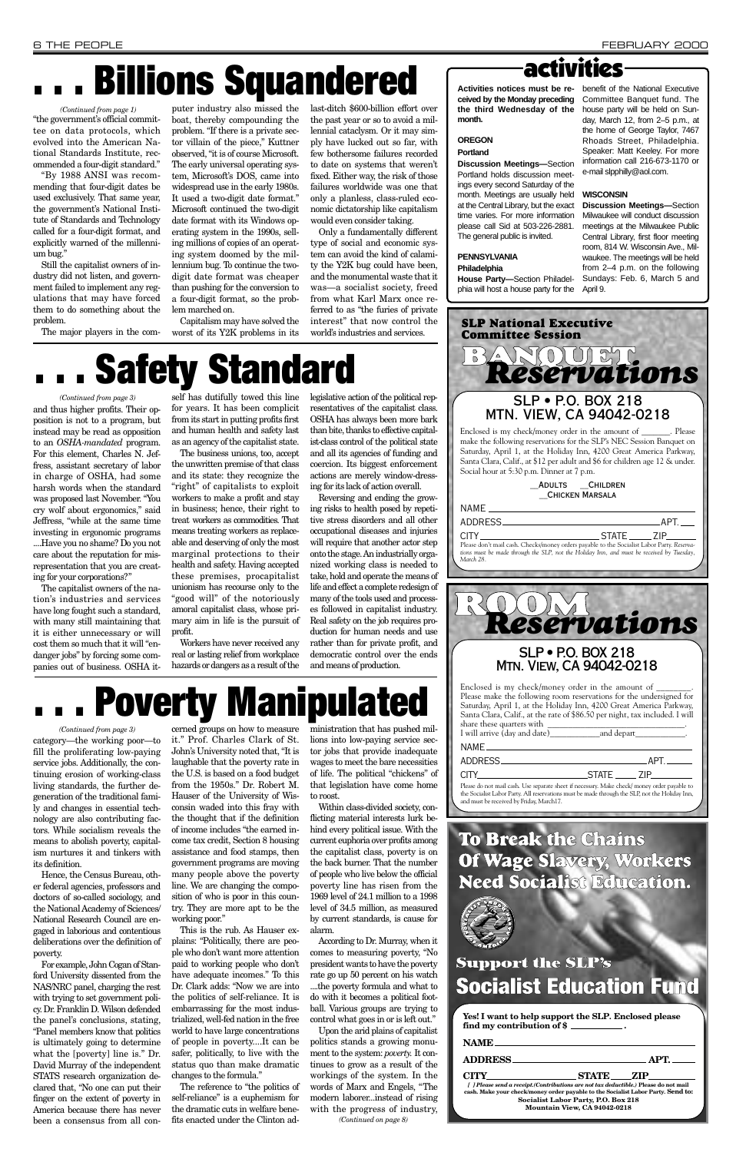ism nurtures it and tinkers with its definition.

Hence, the Census Bureau, other federal agencies, professors and doctors of so-called sociology, and the National Academy of Sciences/ National Research Council are engaged in laborious and contentious deliberations over the definition of poverty.

For example, John Cogan of Stanford University dissented from the NAS/NRC panel, charging the rest with trying to set government policy. Dr. Franklin D. Wilson defended the panel's conclusions, stating, "Panel members know that politics is ultimately going to determine what the [poverty] line is." Dr. David Murray of the independent STATS research organization declared that, "No one can put their finger on the extent of poverty in America because there has never been a consensus from all con-

cerned groups on how to measure it." Prof. Charles Clark of St. John's University noted that, "It is laughable that the poverty rate in the U.S. is based on a food budget from the 1950s." Dr. Robert M. Hauser of the University of Wisconsin waded into this fray with the thought that if the definition of income includes "the earned income tax credit, Section 8 housing

assistance and food stamps, then government programs are moving many people above the poverty line. We are changing the composition of who is poor in this country. They are more apt to be the working poor."

This is the rub. As Hauser explains: "Politically, there are people who don't want more attention paid to working people who don't have adequate incomes." To this Dr. Clark adds: "Now we are into the politics of self-reliance. It is embarrassing for the most industrialized, well-fed nation in the free world to have large concentrations of people in poverty....It can be safer, politically, to live with the status quo than make dramatic changes to the formula."

The reference to "the politics of self-reliance" is a euphemism for the dramatic cuts in welfare benefits enacted under the Clinton administration that has pushed millions into low-paying service sector jobs that provide inadequate wages to meet the bare necessities of life. The political "chickens" of that legislation have come home to roost.

category—the working poor—to fill the proliferating low-paying service jobs. Additionally, the continuing erosion of working-class living standards, the further degeneration of the traditional family and changes in essential technology are also contributing factors. While socialism reveals the means to abolish poverty, capital-*(Continued from page 3)*

and thus higher profits. Their opposition is not to a program, but instead may be read as opposition to an *OSHA-mandated* program. For this element, Charles N. Jeffress, assistant secretary of labor in charge of OSHA, had some harsh words when the standard was proposed last November. "You cry wolf about ergonomics," said Jeffress, "while at the same time investing in ergonomic programs ....Have you no shame? Do you not care about the reputation for misrepresentation that you are creating for your corporations?"

The capitalist owners of the nation's industries and services have long fought such a standard, with many still maintaining that it is either unnecessary or will cost them so much that it will "endanger jobs" by forcing some companies out of business. OSHA it-

self has dutifully towed this line for years. It has been complicit from its start in putting profits first and human health and safety last as an agency of the capitalist state.

The business unions, too, accept the unwritten premise of that class and its state: they recognize the "right" of capitalists to exploit workers to make a profit and stay in business; hence, their right to treat workers as commodities. That means treating workers as replaceable and deserving of only the most marginal protections to their health and safety. Having accepted these premises, procapitalist unionism has recourse only to the "good will" of the notoriously amoral capitalist class, whose primary aim in life is the pursuit of profit.

Workers have never received any real or lasting relief from workplace hazards or dangers as a result of the

legislative action of the political representatives of the capitalist class. OSHA has always been more bark than bite, thanks to effective capitalist-class control of the political state and all its agencies of funding and coercion. Its biggest enforcement actions are merely window-dressing for its lack of action overall.

Reversing and ending the growing risks to health posed by repetitive stress disorders and all other occupational diseases and injuries will require that another actor step onto the stage. An industrially organized working class is needed to take, hold and operate the means of life and effect a complete redesign of many of the tools used and processes followed in capitalist industry. Real safety on the job requires production for human needs and use rather than for private profit, and democratic control over the ends and means of production.

#### *(Continued from page 3)*

## **. . . Billions Squandered**

# **. . . Poverty Manipulated**

"the government's official committee on data protocols, which evolved into the American National Standards Institute, recommended a four-digit standard."

"By 1988 ANSI was recommending that four-digit dates be used exclusively. That same year, the government's National Institute of Standards and Technology called for a four-digit format, and explicitly warned of the millennium bug."

Still the capitalist owners of industry did not listen, and government failed to implement any regulations that may have forced them to do something about the problem.

The major players in the com-

Within class-divided society, conflicting material interests lurk behind every political issue. With the current euphoria over profits among the capitalist class, poverty is on the back burner. That the number of people who live below the official poverty line has risen from the 1969 level of 24.1 million to a 1998 level of 34.5 million, as measured by current standards, is cause for alarm. According to Dr. Murray, when it comes to measuring poverty, "No president wants to have the poverty rate go up 50 percent on his watch ....the poverty formula and what to do with it becomes a political football. Various groups are trying to control what goes in or is left out." Upon the arid plains of capitalist politics stands a growing monument to the system: *poverty.* It continues to grow as a result of the workings of the system. In the words of Marx and Engels, "The modern laborer...instead of rising with the progress of industry, *(Continued on page 8)*

puter industry also missed the boat, thereby compounding the problem. "If there is a private sector villain of the piece," Kuttner observed, "it is of course Microsoft. The early universal operating system, Microsoft's DOS, came into widespread use in the early 1980s. It used a two-digit date format." Microsoft continued the two-digit date format with its Windows operating system in the 1990s, selling millions of copies of an operating system doomed by the millennium bug. To continue the twodigit date format was cheaper than pushing for the conversion to a four-digit format, so the problem marched on.

Capitalism may have solved the worst of its Y2K problems in its last-ditch \$600-billion effort over the past year or so to avoid a millennial cataclysm. Or it may simply have lucked out so far, with few bothersome failures recorded to date on systems that weren't fixed. Either way, the risk of those failures worldwide was one that only a planless, class-ruled economic dictatorship like capitalism would even consider taking.

Only a fundamentally different type of social and economic system can avoid the kind of calamity the Y2K bug could have been, and the monumental waste that it was—a socialist society, freed from what Karl Marx once referred to as "the furies of private interest" that now control the world's industries and services.

**ceived by the Monday preceding the third Wednesday of the month.**

#### **OREGON**

#### **Portland**

**Discussion Meetings—**Section Portland holds discussion meetings every second Saturday of the month. Meetings are usually held at the Central Library, but the exact time varies. For more information please call Sid at 503-226-2881. The general public is invited.

### activities **Activities notices must be re-**benefit of the National Executive

**PENNSYLVANIA**

#### **Philadelphia**

**House Party—**Section Philadelphia will host a house party for the

Committee Banquet fund. The house party will be held on Sunday, March 12, from 2–5 p.m., at the home of George Taylor, 7467 Rhoads Street, Philadelphia. Speaker: Matt Keeley. For more information call 216-673-1170 or e-mail slpphilly@aol.com.

#### **WISCONSIN**

**Discussion Meetings—**Section Milwaukee will conduct discussion meetings at the Milwaukee Public Central Library, first floor meeting room, 814 W. Wisconsin Ave., Milwaukee. The meetings will be held from 2–4 p.m. on the following Sundays: Feb. 6, March 5 and April 9.

## **Need Socialist Education.**



### **Support the SLP's Socialist Education Fund**

| Yes! I want to help support the SLP. Enclosed please |  |
|------------------------------------------------------|--|
| find my contribution of \$                           |  |

|                                                                                                                                                                                                                                     | NAME <b>NAME</b> |           |  |  |
|-------------------------------------------------------------------------------------------------------------------------------------------------------------------------------------------------------------------------------------|------------------|-----------|--|--|
| ADDRESS APT.                                                                                                                                                                                                                        |                  |           |  |  |
| <b>CITY</b> Exercise the contract of the contract of the contract of the contract of the contract of the contract of the contract of the contract of the contract of the contract of the contract of the contract of the contract o |                  | STATE ZIP |  |  |
| [ ] Please send a receipt. (Contributions are not tax deductible.) Please do not mail<br>cash. Make your check/money order payable to the Socialist Labor Party. Send to:                                                           |                  |           |  |  |
| Socialist Labor Party, P.O. Box 218                                                                                                                                                                                                 |                  |           |  |  |
| Mountain View, CA 94042-0218                                                                                                                                                                                                        |                  |           |  |  |

#### *(Continued from page 1)*



## **Safety Standard**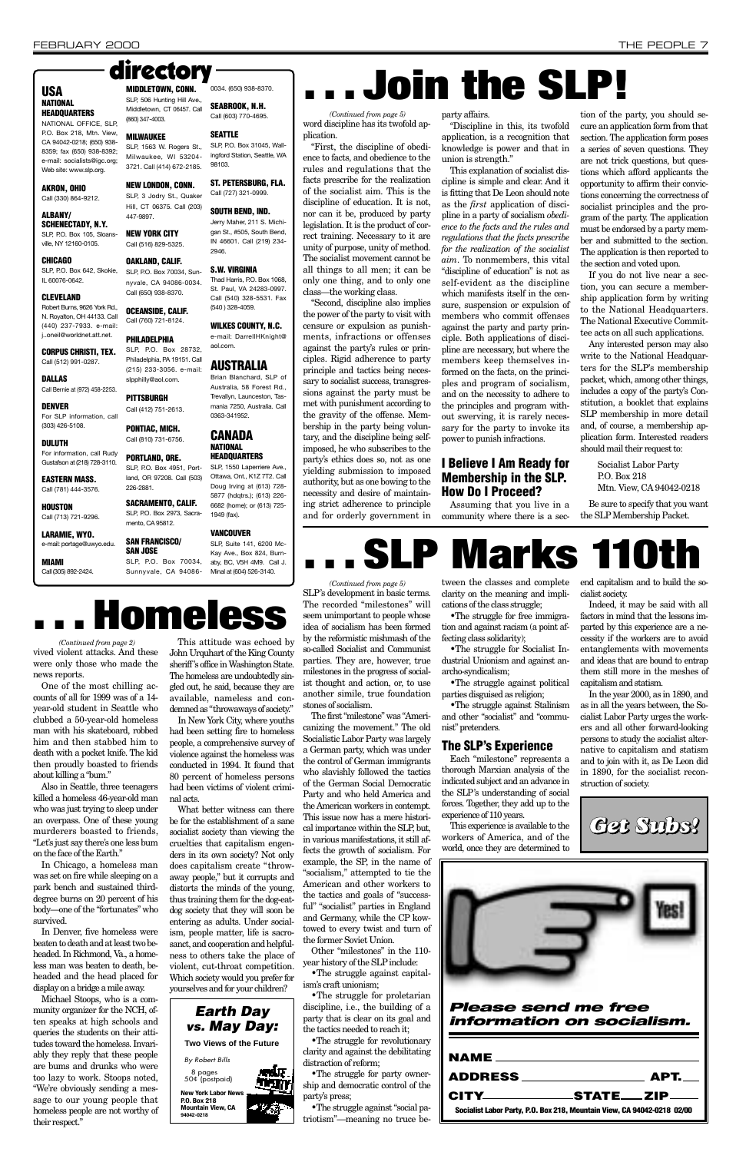One of the most chilling accounts of all for 1999 was of a 14 year-old student in Seattle who clubbed a 50-year-old homeless man with his skateboard, robbed him and then stabbed him to death with a pocket knife. The kid then proudly boasted to friends about killing a "bum."

Also in Seattle, three teenagers killed a homeless 46-year-old man who was just trying to sleep under an overpass. One of these young murderers boasted to friends, "Let's just say there's one less bum

on the face of the Earth."

In Chicago, a homeless man was set on fire while sleeping on a park bench and sustained thirddegree burns on 20 percent of his body—one of the "fortunates" who survived.

John Urquhart of the King County sheriff 's office in Washington State. The homeless are undoubtedly singled out, he said, because they are available, nameless and condemned as "throwaways of society."

In Denver, five homeless were beaten to death and at least two beheaded. In Richmond, Va., a homeless man was beaten to death, beheaded and the head placed for display on a bridge a mile away.

Michael Stoops, who is a community organizer for the NCH, often speaks at high schools and queries the students on their attitudes toward the homeless. Invariably they reply that these people are bums and drunks who were too lazy to work. Stoops noted, "We're obviously sending a message to our young people that homeless people are not worthy of their respect."

This attitude was echoed by

In New York City, where youths had been setting fire to homeless people, a comprehensive survey of violence against the homeless was conducted in 1994. It found that 80 percent of homeless persons had been victims of violent criminal acts.

What better witness can there be for the establishment of a sane socialist society than viewing the cruelties that capitalism engenders in its own society? Not only does capitalism create "throwaway people," but it corrupts and distorts the minds of the young, thus training them for the dog-eatdog society that they will soon be entering as adults. Under socialism, people matter, life is sacrosanct, and cooperation and helpfulness to others take the place of violent, cut-throat competition. Which society would you prefer for yourselves and for your children?

SLP's development in basic terms. The recorded "milestones" will seem unimportant to people whose idea of socialism has been formed by the reformistic mishmash of the so-called Socialist and Communist parties. They are, however, true milestones in the progress of socialist thought and action, or, to use another simile, true foundation

stones of socialism.

The first "milestone" was "Americanizing the movement." The old Socialistic Labor Party was largely a German party, which was under the control of German immigrants who slavishly followed the tactics of the German Social Democratic Party and who held America and the American workers in contempt. This issue now has a mere historical importance within the SLP, but,

in various manifestations, it still affects the growth of socialism. For example, the SP, in the name of "socialism," attempted to tie the American and other workers to the tactics and goals of "successful" "socialist" parties in England and Germany, while the CP kowtowed to every twist and turn of the former Soviet Union.

Other "milestones" in the 110 year history of the SLP include:

•The struggle against capitalism's craft unionism;

•The struggle for proletarian discipline, i.e., the building of a party that is clear on its goal and the tactics needed to reach it;

•The struggle for revolutionary clarity and against the debilitating distraction of reform;

•The struggle for party ownership and democratic control of the party's press;

•The struggle against "social patriotism"—meaning no truce be-

tween the classes and complete clarity on the meaning and implications of the class struggle;

•The struggle for free immigration and against racism (a point affecting class solidarity);

•The struggle for Socialist Industrial Unionism and against anarcho-syndicalism;

•The struggle against political parties disguised as religion;

•The struggle against Stalinism and other "socialist" and "communist" pretenders.

#### USA **NATIONAL**

#### The SLP's Experience

Each "milestone" represents a thorough Marxian analysis of the indicated subject and an advance in the SLP's understanding of social forces. Together, they add up to the experience of 110 years.

**CHICAGO** SLP, P.O. Box 642, Skokie, IL 60076-0642.

> This experience is available to the workers of America, and of the

world, once they are determined to

end capitalism and to build the socialist society.

Indeed, it may be said with all factors in mind that the lessons imparted by this experience are a necessity if the workers are to avoid entanglements with movements and ideas that are bound to entrap them still more in the meshes of capitalism and statism.

In the year 2000, as in 1890, and as in all the years between, the Socialist Labor Party urges the workers and all other forward-looking persons to study the socialist alternative to capitalism and statism and to join with it, as De Leon did in 1890, for the socialist reconstruction of society.

#### SLP, 506 Hunting Hill Ave., Middletown, CT 06457. Call (860) 347-4003. 0034. (650) 938-8370. SEABROOK, N.H.

#### **NATIONAL** HEADQUARTERS

"First, the discipline of obedience to facts, and obedience to the rules and regulations that the facts prescribe for the realization of the socialist aim. This is the discipline of education. It is not, nor can it be, produced by party legislation. It is the product of correct training. Necessary to it are unity of purpose, unity of method. The socialist movement cannot be all things to all men; it can be only one thing, and to only one class—the working class.

vived violent attacks. And these were only those who made the news reports. *(Continued from page 2)*

"Second, discipline also implies the power of the party to visit with censure or expulsion as punishments, infractions or offenses against the party's rules or principles. Rigid adherence to party principle and tactics being necessary to socialist success, transgressions against the party must be met with punishment according to the gravity of the offense. Membership in the party being voluntary, and the discipline being selfimposed, he who subscribes to the party's ethics does so, not as one yielding submission to imposed authority, but as one bowing to the necessity and desire of maintaining strict adherence to principle and for orderly government in party affairs.

"Discipline in this, its twofold application, is a recognition that knowledge is power and that in union is strength."

This explanation of socialist discipline is simple and clear. And it is fitting that De Leon should note as the *first* application of discipline in a party of socialism *obedience to the facts and the rules and regulations that the facts prescribe for the realization of the socialist aim*. To nonmembers, this vital "discipline of education" is not as self-evident as the discipline which manifests itself in the censure, suspension or expulsion of members who commit offenses against the party and party principle. Both applications of discipline are necessary, but where the members keep themselves informed on the facts, on the principles and program of socialism, and on the necessity to adhere to the principles and program without swerving, it is rarely necessary for the party to invoke its power to punish infractions.

#### I Believe I Am Ready for Membership in the SLP. How Do I Proceed?

Assuming that you live in a community where there is a sec-

tion of the party, you should secure an application form from that section. The application form poses a series of seven questions. They are not trick questions, but questions which afford applicants the opportunity to affirm their convictions concerning the correctness of socialist principles and the program of the party. The application must be endorsed by a party member and submitted to the section. The application is then reported to the section and voted upon.

If you do not live near a section, you can secure a membership application form by writing to the National Headquarters. The National Executive Committee acts on all such applications.

word discipline has its twofold application. *(Continued from page 5)*

> Any interested person may also write to the National Headquarters for the SLP's membership packet, which, among other things, includes a copy of the party's Constitution, a booklet that explains SLP membership in more detail and, of course, a membership application form. Interested readers should mail their request to:

> > Socialist Labor Party P.O. Box 218 Mtn. View, CA 94042-0218

Be sure to specify that you want the SLP Membership Packet.

#### HEADQUARTERS NATIONAL OFFICE, SLP,

P.O. Box 218, Mtn. View, CA 94042-0218; (650) 938- 8359; fax (650) 938-8392; e-mail: socialists@igc.org; Web site: www.slp.org.

#### AKRON, OHIO

Call (330) 864-9212.

#### ALBANY/ SCHENECTADY, N.Y.

SLP, P.O. Box 105, Sloansville, NY 12160-0105.

#### CLEVELAND

Robert Burns, 9626 York Rd., N. Royalton, OH 44133. Call (440) 237-7933. e-mail: j..oneil@worldnet.att.net.

CORPUS CHRISTI, TEX. Call (512) 991-0287.

DALLAS Call Bernie at (972) 458-2253.

#### DENVER

For SLP information, call (303) 426-5108.

#### DULUTH For information, call Rudy Gustafson at (218) 728-3110.

EASTERN MASS. Call (781) 444-3576.

HOUSTON Call (713) 721-9296.

LARAMIE, WYO. e-mail: portage@uwyo.edu.

MIAMI Call (305) 892-2424.

### MIDDLETOWN, CONN.

MILWAUKEE

NEW LONDON, CONN.

447-9897.

Call (516) 829-5325.

#### OAKLAND, CALIF.

SLP, P.O. Box 70034, Sunnyvale, CA 94086-0034. Call (650) 938-8370. OCEANSIDE, CALIF. Call (760) 721-8124.

PHILADELPHIA

SLP, 1563 W. Rogers St., Milwaukee, WI 53204- 3721. Call (414) 672-2185. SLP, P.O. Box 31045, Wallingford Station, Seattle, WA 98103.

#### SLP, 3 Jodry St., Quaker ST. PETERSBURG, FLA. Call (727) 321-0999.

PORTLAND, ORE.

Hill, CT 06375. Call (203) NEW YORK CITY SOUTH BEND, IND. Jerry Maher, 211 S. Michigan St., #505, South Bend,

226-2881.

mento, CA 95812. SAN FRANCISCO/ SAN JOSE

Sunnyvale, CA 94086-

Call (603) 770-4695.

SLP, P.O. Box 28732, Philadelphia, PA 19151. Call (215) 233-3056. e-mail: AUSTRALIA Brian Blanchard, SLP of

#### SEATTLE

#### slpphilly@aol.com. **PITTSBURGH** Call (412) 751-2613. PONTIAC, MICH. Call (810) 731-6756. Australia, 58 Forest Rd., Trevallyn, Launceston, Tas-CANADA

IN 46601. Call (219) 234-

2946.

SLP, P.O. Box 4951, Portland, OR 97208. Call (503) SACRAMENTO, CALIF. SLP, P.O. Box 2973, Sacra-SLP, 1550 Laperriere Ave., Ottawa, Ont., K1Z 7T2. Call Doug Irving at (613) 728- 5877 (hdqtrs.); (613) 226- 6682 (home); or (613) 725- 1949 (fax).

# directory **. . . . . . . Join the SLP!**

S.W. VIRGINIA Thad Harris, P.O. Box 1068, St. Paul, VA 24283-0997. Call (540) 328-5531. Fax (540 ) 328-4059.

#### WILKES COUNTY, N.C. e-mail: DarrellHKnight@ aol.com.

SLP, P.O. Box 70034, aby, BC, V5H 4M9. Call J. VANCOUVER SLP, Suite 141, 6200 Mc-Kay Ave., Box 824, Burn-Minal at (604) 526-3140. *(Continued from page 5)*

mania 7250, Australia. Call 0363-341952.

**. . . SLP Marks 110th**

**. . . Homeless**